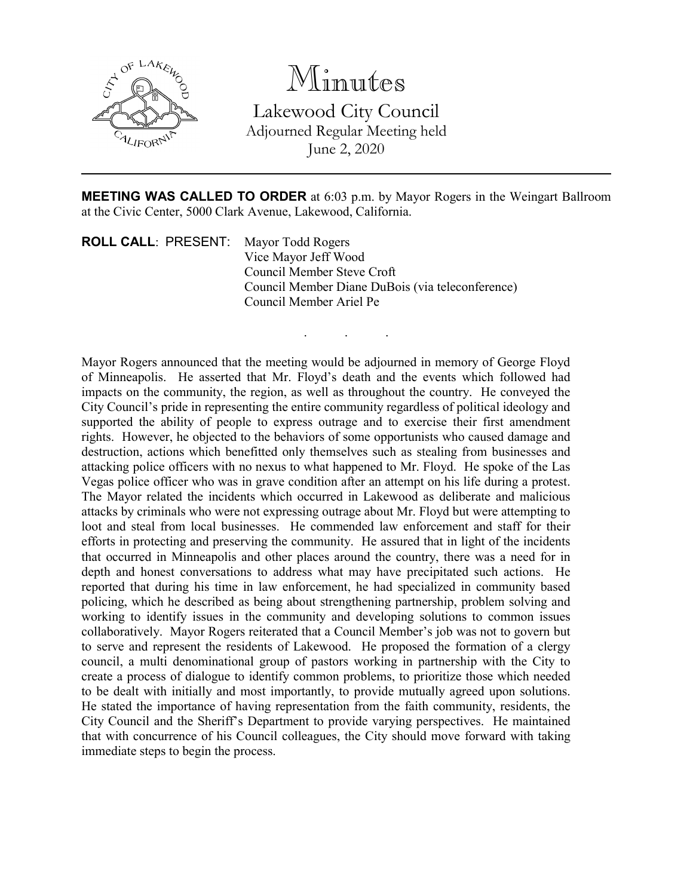

Minutes Lakewood City Council Adjourned Regular Meeting held June 2, 2020

**MEETING WAS CALLED TO ORDER** at 6:03 p.m. by Mayor Rogers in the Weingart Ballroom at the Civic Center, 5000 Clark Avenue, Lakewood, California.

. . .

**ROLL CALL**: PRESENT: Mayor Todd Rogers Vice Mayor Jeff Wood Council Member Steve Croft Council Member Diane DuBois (via teleconference) Council Member Ariel Pe

Mayor Rogers announced that the meeting would be adjourned in memory of George Floyd of Minneapolis. He asserted that Mr. Floyd's death and the events which followed had impacts on the community, the region, as well as throughout the country. He conveyed the City Council's pride in representing the entire community regardless of political ideology and supported the ability of people to express outrage and to exercise their first amendment rights. However, he objected to the behaviors of some opportunists who caused damage and destruction, actions which benefitted only themselves such as stealing from businesses and attacking police officers with no nexus to what happened to Mr. Floyd. He spoke of the Las Vegas police officer who was in grave condition after an attempt on his life during a protest. The Mayor related the incidents which occurred in Lakewood as deliberate and malicious attacks by criminals who were not expressing outrage about Mr. Floyd but were attempting to loot and steal from local businesses. He commended law enforcement and staff for their efforts in protecting and preserving the community. He assured that in light of the incidents that occurred in Minneapolis and other places around the country, there was a need for in depth and honest conversations to address what may have precipitated such actions. He reported that during his time in law enforcement, he had specialized in community based policing, which he described as being about strengthening partnership, problem solving and working to identify issues in the community and developing solutions to common issues collaboratively. Mayor Rogers reiterated that a Council Member's job was not to govern but to serve and represent the residents of Lakewood. He proposed the formation of a clergy council, a multi denominational group of pastors working in partnership with the City to create a process of dialogue to identify common problems, to prioritize those which needed to be dealt with initially and most importantly, to provide mutually agreed upon solutions. He stated the importance of having representation from the faith community, residents, the City Council and the Sheriff's Department to provide varying perspectives. He maintained that with concurrence of his Council colleagues, the City should move forward with taking immediate steps to begin the process.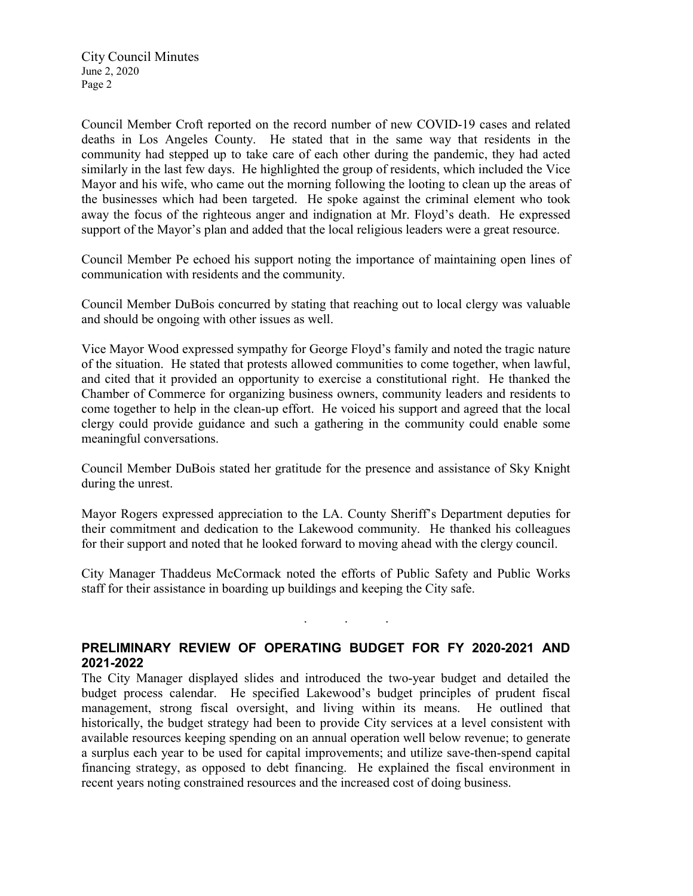Council Member Croft reported on the record number of new COVID-19 cases and related deaths in Los Angeles County. He stated that in the same way that residents in the community had stepped up to take care of each other during the pandemic, they had acted similarly in the last few days. He highlighted the group of residents, which included the Vice Mayor and his wife, who came out the morning following the looting to clean up the areas of the businesses which had been targeted. He spoke against the criminal element who took away the focus of the righteous anger and indignation at Mr. Floyd's death. He expressed support of the Mayor's plan and added that the local religious leaders were a great resource.

Council Member Pe echoed his support noting the importance of maintaining open lines of communication with residents and the community.

Council Member DuBois concurred by stating that reaching out to local clergy was valuable and should be ongoing with other issues as well.

Vice Mayor Wood expressed sympathy for George Floyd's family and noted the tragic nature of the situation. He stated that protests allowed communities to come together, when lawful, and cited that it provided an opportunity to exercise a constitutional right. He thanked the Chamber of Commerce for organizing business owners, community leaders and residents to come together to help in the clean-up effort. He voiced his support and agreed that the local clergy could provide guidance and such a gathering in the community could enable some meaningful conversations.

Council Member DuBois stated her gratitude for the presence and assistance of Sky Knight during the unrest.

Mayor Rogers expressed appreciation to the LA. County Sheriff's Department deputies for their commitment and dedication to the Lakewood community. He thanked his colleagues for their support and noted that he looked forward to moving ahead with the clergy council.

City Manager Thaddeus McCormack noted the efforts of Public Safety and Public Works staff for their assistance in boarding up buildings and keeping the City safe.

. . .

## **PRELIMINARY REVIEW OF OPERATING BUDGET FOR FY 2020-2021 AND 2021-2022**

The City Manager displayed slides and introduced the two-year budget and detailed the budget process calendar. He specified Lakewood's budget principles of prudent fiscal management, strong fiscal oversight, and living within its means. He outlined that historically, the budget strategy had been to provide City services at a level consistent with available resources keeping spending on an annual operation well below revenue; to generate a surplus each year to be used for capital improvements; and utilize save-then-spend capital financing strategy, as opposed to debt financing. He explained the fiscal environment in recent years noting constrained resources and the increased cost of doing business.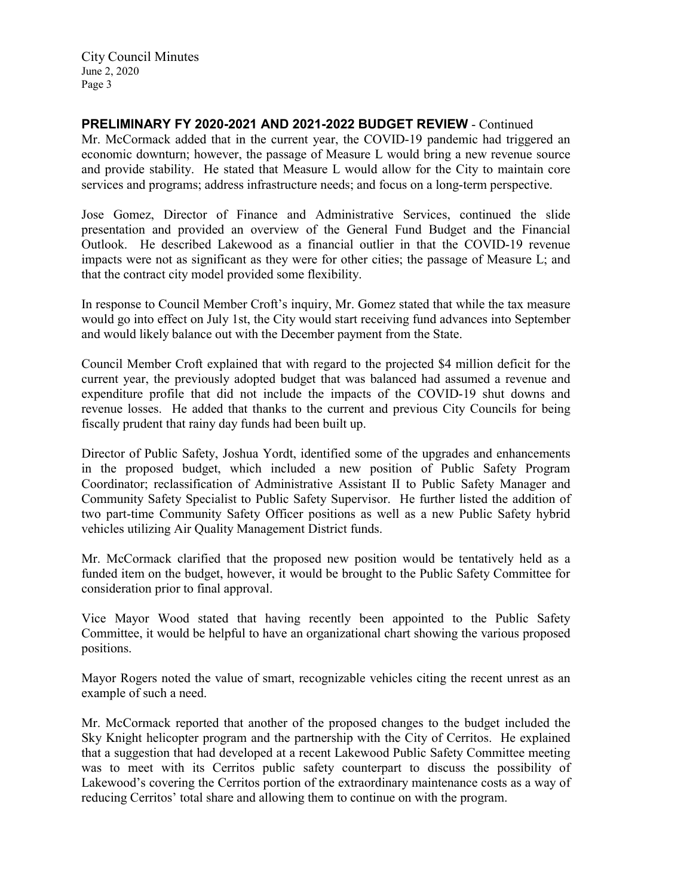**PRELIMINARY FY 2020-2021 AND 2021-2022 BUDGET REVIEW** - Continued

Mr. McCormack added that in the current year, the COVID-19 pandemic had triggered an economic downturn; however, the passage of Measure L would bring a new revenue source and provide stability. He stated that Measure L would allow for the City to maintain core services and programs; address infrastructure needs; and focus on a long-term perspective.

Jose Gomez, Director of Finance and Administrative Services, continued the slide presentation and provided an overview of the General Fund Budget and the Financial Outlook. He described Lakewood as a financial outlier in that the COVID-19 revenue impacts were not as significant as they were for other cities; the passage of Measure L; and that the contract city model provided some flexibility.

In response to Council Member Croft's inquiry, Mr. Gomez stated that while the tax measure would go into effect on July 1st, the City would start receiving fund advances into September and would likely balance out with the December payment from the State.

Council Member Croft explained that with regard to the projected \$4 million deficit for the current year, the previously adopted budget that was balanced had assumed a revenue and expenditure profile that did not include the impacts of the COVID-19 shut downs and revenue losses. He added that thanks to the current and previous City Councils for being fiscally prudent that rainy day funds had been built up.

Director of Public Safety, Joshua Yordt, identified some of the upgrades and enhancements in the proposed budget, which included a new position of Public Safety Program Coordinator; reclassification of Administrative Assistant II to Public Safety Manager and Community Safety Specialist to Public Safety Supervisor. He further listed the addition of two part-time Community Safety Officer positions as well as a new Public Safety hybrid vehicles utilizing Air Quality Management District funds.

Mr. McCormack clarified that the proposed new position would be tentatively held as a funded item on the budget, however, it would be brought to the Public Safety Committee for consideration prior to final approval.

Vice Mayor Wood stated that having recently been appointed to the Public Safety Committee, it would be helpful to have an organizational chart showing the various proposed positions.

Mayor Rogers noted the value of smart, recognizable vehicles citing the recent unrest as an example of such a need.

Mr. McCormack reported that another of the proposed changes to the budget included the Sky Knight helicopter program and the partnership with the City of Cerritos. He explained that a suggestion that had developed at a recent Lakewood Public Safety Committee meeting was to meet with its Cerritos public safety counterpart to discuss the possibility of Lakewood's covering the Cerritos portion of the extraordinary maintenance costs as a way of reducing Cerritos' total share and allowing them to continue on with the program.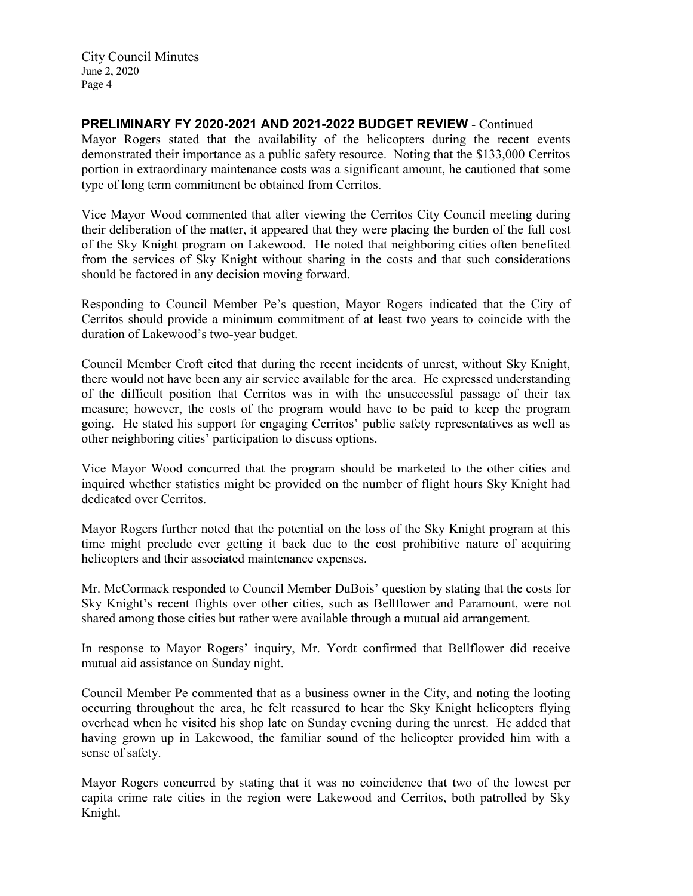**PRELIMINARY FY 2020-2021 AND 2021-2022 BUDGET REVIEW** - Continued

Mayor Rogers stated that the availability of the helicopters during the recent events demonstrated their importance as a public safety resource. Noting that the \$133,000 Cerritos portion in extraordinary maintenance costs was a significant amount, he cautioned that some type of long term commitment be obtained from Cerritos.

Vice Mayor Wood commented that after viewing the Cerritos City Council meeting during their deliberation of the matter, it appeared that they were placing the burden of the full cost of the Sky Knight program on Lakewood. He noted that neighboring cities often benefited from the services of Sky Knight without sharing in the costs and that such considerations should be factored in any decision moving forward.

Responding to Council Member Pe's question, Mayor Rogers indicated that the City of Cerritos should provide a minimum commitment of at least two years to coincide with the duration of Lakewood's two-year budget.

Council Member Croft cited that during the recent incidents of unrest, without Sky Knight, there would not have been any air service available for the area. He expressed understanding of the difficult position that Cerritos was in with the unsuccessful passage of their tax measure; however, the costs of the program would have to be paid to keep the program going. He stated his support for engaging Cerritos' public safety representatives as well as other neighboring cities' participation to discuss options.

Vice Mayor Wood concurred that the program should be marketed to the other cities and inquired whether statistics might be provided on the number of flight hours Sky Knight had dedicated over Cerritos.

Mayor Rogers further noted that the potential on the loss of the Sky Knight program at this time might preclude ever getting it back due to the cost prohibitive nature of acquiring helicopters and their associated maintenance expenses.

Mr. McCormack responded to Council Member DuBois' question by stating that the costs for Sky Knight's recent flights over other cities, such as Bellflower and Paramount, were not shared among those cities but rather were available through a mutual aid arrangement.

In response to Mayor Rogers' inquiry, Mr. Yordt confirmed that Bellflower did receive mutual aid assistance on Sunday night.

Council Member Pe commented that as a business owner in the City, and noting the looting occurring throughout the area, he felt reassured to hear the Sky Knight helicopters flying overhead when he visited his shop late on Sunday evening during the unrest. He added that having grown up in Lakewood, the familiar sound of the helicopter provided him with a sense of safety.

Mayor Rogers concurred by stating that it was no coincidence that two of the lowest per capita crime rate cities in the region were Lakewood and Cerritos, both patrolled by Sky Knight.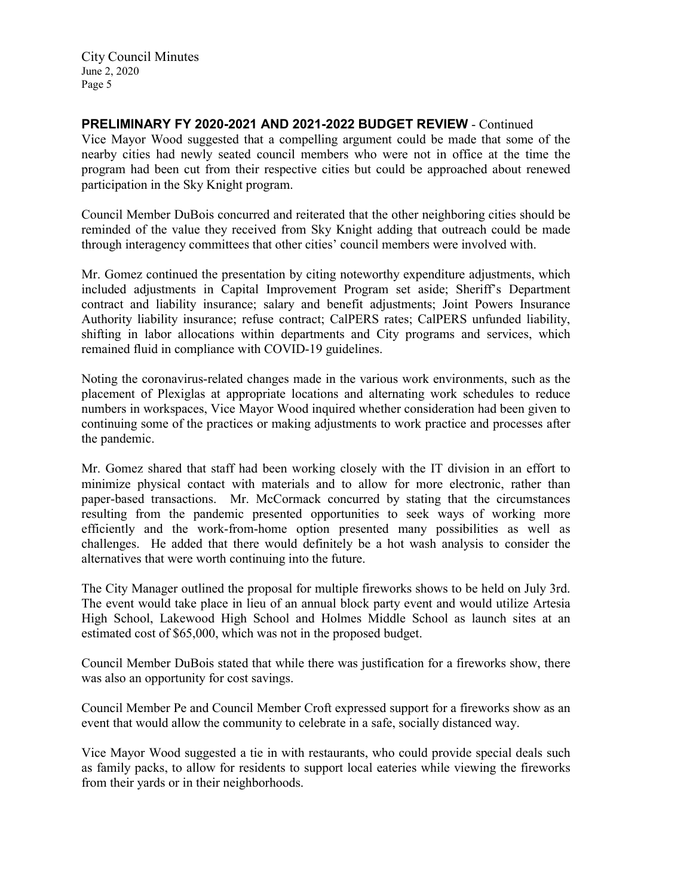**PRELIMINARY FY 2020-2021 AND 2021-2022 BUDGET REVIEW** - Continued

Vice Mayor Wood suggested that a compelling argument could be made that some of the nearby cities had newly seated council members who were not in office at the time the program had been cut from their respective cities but could be approached about renewed participation in the Sky Knight program.

Council Member DuBois concurred and reiterated that the other neighboring cities should be reminded of the value they received from Sky Knight adding that outreach could be made through interagency committees that other cities' council members were involved with.

Mr. Gomez continued the presentation by citing noteworthy expenditure adjustments, which included adjustments in Capital Improvement Program set aside; Sheriff's Department contract and liability insurance; salary and benefit adjustments; Joint Powers Insurance Authority liability insurance; refuse contract; CalPERS rates; CalPERS unfunded liability, shifting in labor allocations within departments and City programs and services, which remained fluid in compliance with COVID-19 guidelines.

Noting the coronavirus-related changes made in the various work environments, such as the placement of Plexiglas at appropriate locations and alternating work schedules to reduce numbers in workspaces, Vice Mayor Wood inquired whether consideration had been given to continuing some of the practices or making adjustments to work practice and processes after the pandemic.

Mr. Gomez shared that staff had been working closely with the IT division in an effort to minimize physical contact with materials and to allow for more electronic, rather than paper-based transactions. Mr. McCormack concurred by stating that the circumstances resulting from the pandemic presented opportunities to seek ways of working more efficiently and the work-from-home option presented many possibilities as well as challenges. He added that there would definitely be a hot wash analysis to consider the alternatives that were worth continuing into the future.

The City Manager outlined the proposal for multiple fireworks shows to be held on July 3rd. The event would take place in lieu of an annual block party event and would utilize Artesia High School, Lakewood High School and Holmes Middle School as launch sites at an estimated cost of \$65,000, which was not in the proposed budget.

Council Member DuBois stated that while there was justification for a fireworks show, there was also an opportunity for cost savings.

Council Member Pe and Council Member Croft expressed support for a fireworks show as an event that would allow the community to celebrate in a safe, socially distanced way.

Vice Mayor Wood suggested a tie in with restaurants, who could provide special deals such as family packs, to allow for residents to support local eateries while viewing the fireworks from their yards or in their neighborhoods.